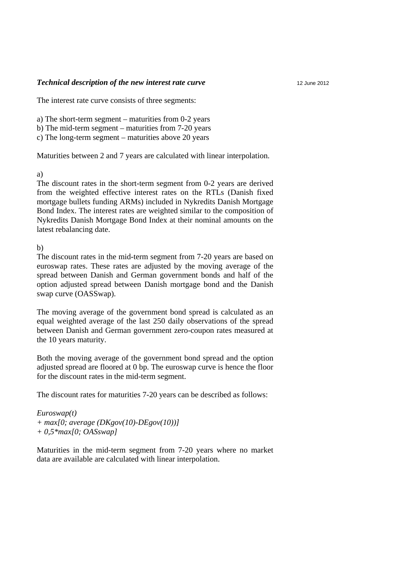#### *Technical description of the new interest rate curve*

The interest rate curve consists of three segments:

a) The short-term segment – maturities from 0-2 years

b) The mid-term segment – maturities from 7-20 years

c) The long-term segment – maturities above 20 years

Maturities between 2 and 7 years are calculated with linear interpolation.

### a)

The discount rates in the short-term segment from 0-2 years are derived from the weighted effective interest rates on the RTLs (Danish fixed mortgage bullets funding ARMs) included in Nykredits Danish Mortgage Bond Index. The interest rates are weighted similar to the composition of Nykredits Danish Mortgage Bond Index at their nominal amounts on the latest rebalancing date.

# b)

The discount rates in the mid-term segment from 7-20 years are based on euroswap rates. These rates are adjusted by the moving average of the spread between Danish and German government bonds and half of the option adjusted spread between Danish mortgage bond and the Danish swap curve (OASSwap).

The moving average of the government bond spread is calculated as an equal weighted average of the last 250 daily observations of the spread between Danish and German government zero-coupon rates measured at the 10 years maturity.

Both the moving average of the government bond spread and the option adjusted spread are floored at 0 bp. The euroswap curve is hence the floor for the discount rates in the mid-term segment.

The discount rates for maturities 7-20 years can be described as follows:

### *Euroswap(t)*

*+ max[0; average (DKgov(10)-DEgov(10))] + 0,5\*max[0; OASswap]* 

Maturities in the mid-term segment from 7-20 years where no market data are available are calculated with linear interpolation.